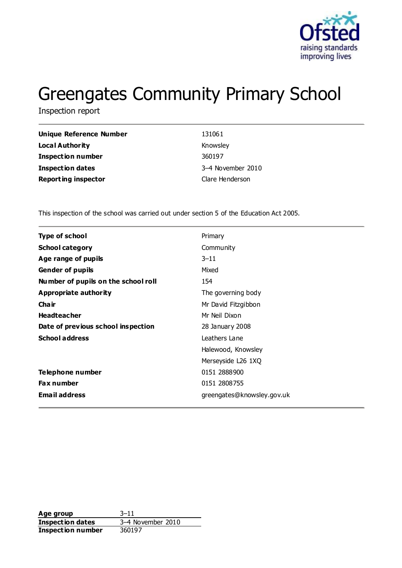

# Greengates Community Primary School

Inspection report

| Unique Reference Number    | 131061            |
|----------------------------|-------------------|
| Local Authority            | Knowsley          |
| <b>Inspection number</b>   | 360197            |
| Inspection dates           | 3–4 November 2010 |
| <b>Reporting inspector</b> | Clare Henderson   |

This inspection of the school was carried out under section 5 of the Education Act 2005.

| Type of school                      | Primary                    |
|-------------------------------------|----------------------------|
| <b>School category</b>              | Community                  |
| Age range of pupils                 | $3 - 11$                   |
| <b>Gender of pupils</b>             | Mixed                      |
| Number of pupils on the school roll | 154                        |
| Appropriate authority               | The governing body         |
| Cha ir                              | Mr David Fitzgibbon        |
| <b>Headteacher</b>                  | Mr Neil Dixon              |
| Date of previous school inspection  | 28 January 2008            |
| <b>School address</b>               | Leathers Lane              |
|                                     | Halewood, Knowsley         |
|                                     | Merseyside L26 1XQ         |
| Telephone number                    | 0151 2888900               |
| <b>Fax number</b>                   | 0151 2808755               |
| <b>Email address</b>                | greengates@knowsley.gov.uk |
|                                     |                            |

Age group<br> **Inspection dates** 3–4 November 2010 **Inspection dates Inspection number** 360197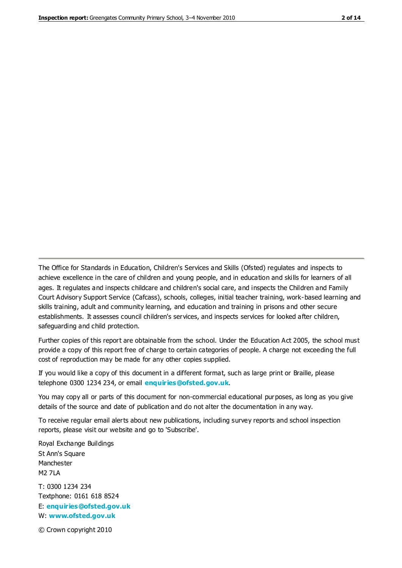The Office for Standards in Education, Children's Services and Skills (Ofsted) regulates and inspects to achieve excellence in the care of children and young people, and in education and skills for learners of all ages. It regulates and inspects childcare and children's social care, and inspects the Children and Family Court Advisory Support Service (Cafcass), schools, colleges, initial teacher training, work-based learning and skills training, adult and community learning, and education and training in prisons and other secure establishments. It assesses council children's services, and inspects services for looked after children, safeguarding and child protection.

Further copies of this report are obtainable from the school. Under the Education Act 2005, the school must provide a copy of this report free of charge to certain categories of people. A charge not exceeding the full cost of reproduction may be made for any other copies supplied.

If you would like a copy of this document in a different format, such as large print or Braille, please telephone 0300 1234 234, or email **[enquiries@ofsted.gov.uk](mailto:enquiries@ofsted.gov.uk)**.

You may copy all or parts of this document for non-commercial educational purposes, as long as you give details of the source and date of publication and do not alter the documentation in any way.

To receive regular email alerts about new publications, including survey reports and school inspection reports, please visit our website and go to 'Subscribe'.

Royal Exchange Buildings St Ann's Square Manchester M2 7LA T: 0300 1234 234 Textphone: 0161 618 8524 E: **[enquiries@ofsted.gov.uk](mailto:enquiries@ofsted.gov.uk)**

W: **[www.ofsted.gov.uk](http://www.ofsted.gov.uk/)**

© Crown copyright 2010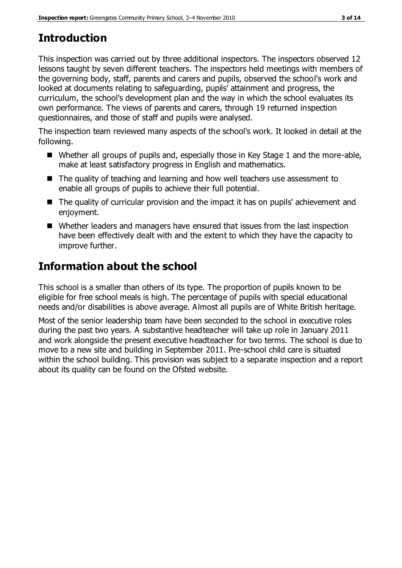# **Introduction**

This inspection was carried out by three additional inspectors. The inspectors observed 12 lessons taught by seven different teachers. The inspectors held meetings with members of the governing body, staff, parents and carers and pupils, observed the school's work and looked at documents relating to safeguarding, pupils' attainment and progress, the curriculum, the school's development plan and the way in which the school evaluates its own performance. The views of parents and carers, through 19 returned inspection questionnaires, and those of staff and pupils were analysed.

The inspection team reviewed many aspects of the school's work. It looked in detail at the following.

- Whether all groups of pupils and, especially those in Key Stage 1 and the more-able, make at least satisfactory progress in English and mathematics.
- The quality of teaching and learning and how well teachers use assessment to enable all groups of pupils to achieve their full potential.
- The quality of curricular provision and the impact it has on pupils' achievement and enjoyment.
- Whether leaders and managers have ensured that issues from the last inspection have been effectively dealt with and the extent to which they have the capacity to improve further.

# **Information about the school**

This school is a smaller than others of its type. The proportion of pupils known to be eligible for free school meals is high. The percentage of pupils with special educational needs and/or disabilities is above average. Almost all pupils are of White British heritage.

Most of the senior leadership team have been seconded to the school in executive roles during the past two years. A substantive headteacher will take up role in January 2011 and work alongside the present executive headteacher for two terms. The school is due to move to a new site and building in September 2011. Pre-school child care is situated within the school building. This provision was subject to a separate inspection and a report about its quality can be found on the Ofsted website.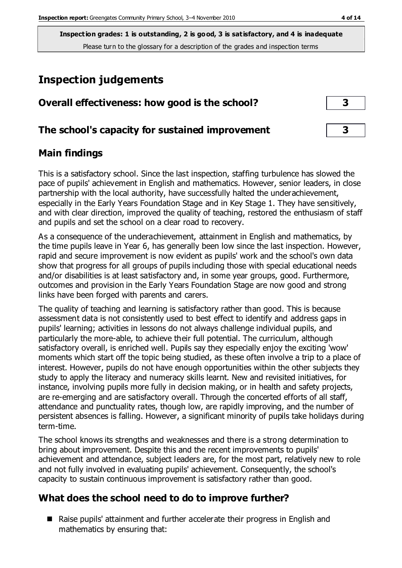## **Inspection judgements**

| Overall effectiveness: how good is the school?  |  |
|-------------------------------------------------|--|
| The school's capacity for sustained improvement |  |

#### **Main findings**

This is a satisfactory school. Since the last inspection, staffing turbulence has slowed the pace of pupils' achievement in English and mathematics. However, senior leaders, in close partnership with the local authority, have successfully halted the underachievement, especially in the Early Years Foundation Stage and in Key Stage 1. They have sensitively, and with clear direction, improved the quality of teaching, restored the enthusiasm of staff and pupils and set the school on a clear road to recovery.

As a consequence of the underachievement, attainment in English and mathematics, by the time pupils leave in Year 6, has generally been low since the last inspection. However, rapid and secure improvement is now evident as pupils' work and the school's own data show that progress for all groups of pupils including those with special educational needs and/or disabilities is at least satisfactory and, in some year groups, good. Furthermore, outcomes and provision in the Early Years Foundation Stage are now good and strong links have been forged with parents and carers.

The quality of teaching and learning is satisfactory rather than good. This is because assessment data is not consistently used to best effect to identify and address gaps in pupils' learning; activities in lessons do not always challenge individual pupils, and particularly the more-able, to achieve their full potential. The curriculum, although satisfactory overall, is enriched well. Pupils say they especially enjoy the exciting 'wow' moments which start off the topic being studied, as these often involve a trip to a place of interest. However, pupils do not have enough opportunities within the other subjects they study to apply the literacy and numeracy skills learnt. New and revisited initiatives, for instance, involving pupils more fully in decision making, or in health and safety projects, are re-emerging and are satisfactory overall. Through the concerted efforts of all staff, attendance and punctuality rates, though low, are rapidly improving, and the number of persistent absences is falling. However, a significant minority of pupils take holidays during term-time.

The school knows its strengths and weaknesses and there is a strong determination to bring about improvement. Despite this and the recent improvements to pupils' achievement and attendance, subject leaders are, for the most part, relatively new to role and not fully involved in evaluating pupils' achievement. Consequently, the school's capacity to sustain continuous improvement is satisfactory rather than good.

## **What does the school need to do to improve further?**

■ Raise pupils' attainment and further accelerate their progress in English and mathematics by ensuring that: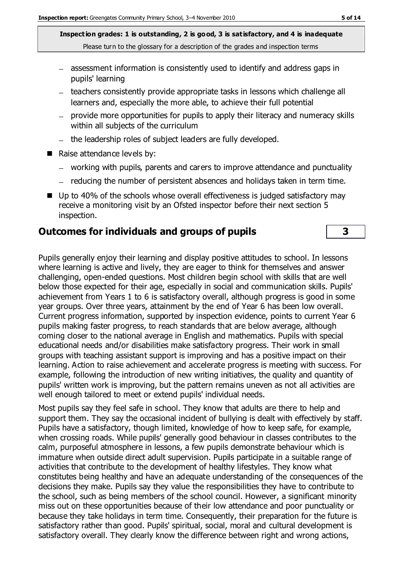- assessment information is consistently used to identify and address gaps in pupils' learning
- teachers consistently provide appropriate tasks in lessons which challenge all learners and, especially the more able, to achieve their full potential
- provide more opportunities for pupils to apply their literacy and numeracy skills within all subjects of the curriculum
- the leadership roles of subject leaders are fully developed.
- Raise attendance levels by:
	- working with pupils, parents and carers to improve attendance and punctuality
	- reducing the number of persistent absences and holidays taken in term time.
- Up to 40% of the schools whose overall effectiveness is judged satisfactory may receive a monitoring visit by an Ofsted inspector before their next section 5 inspection.

#### **Outcomes for individuals and groups of pupils 3**

Pupils generally enjoy their learning and display positive attitudes to school. In lessons where learning is active and lively, they are eager to think for themselves and answer challenging, open-ended questions. Most children begin school with skills that are well below those expected for their age, especially in social and communication skills. Pupils' achievement from Years 1 to 6 is satisfactory overall, although progress is good in some year groups. Over three years, attainment by the end of Year 6 has been low overall. Current progress information, supported by inspection evidence, points to current Year 6 pupils making faster progress, to reach standards that are below average, although coming closer to the national average in English and mathematics. Pupils with special educational needs and/or disabilities make satisfactory progress. Their work in small groups with teaching assistant support is improving and has a positive impact on their learning. Action to raise achievement and accelerate progress is meeting with success. For example, following the introduction of new writing initiatives, the quality and quantity of pupils' written work is improving, but the pattern remains uneven as not all activities are well enough tailored to meet or extend pupils' individual needs.

Most pupils say they feel safe in school. They know that adults are there to help and support them. They say the occasional incident of bullying is dealt with effectively by staff. Pupils have a satisfactory, though limited, knowledge of how to keep safe, for example, when crossing roads. While pupils' generally good behaviour in classes contributes to the calm, purposeful atmosphere in lessons, a few pupils demonstrate behaviour which is immature when outside direct adult supervision. Pupils participate in a suitable range of activities that contribute to the development of healthy lifestyles. They know what constitutes being healthy and have an adequate understanding of the consequences of the decisions they make. Pupils say they value the responsibilities they have to contribute to the school, such as being members of the school council. However, a significant minority miss out on these opportunities because of their low attendance and poor punctuality or because they take holidays in term time. Consequently, their preparation for the future is satisfactory rather than good. Pupils' spiritual, social, moral and cultural development is satisfactory overall. They clearly know the difference between right and wrong actions,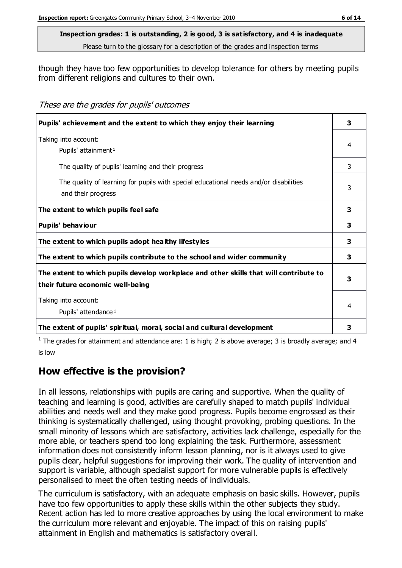though they have too few opportunities to develop tolerance for others by meeting pupils from different religions and cultures to their own.

These are the grades for pupils' outcomes

| Pupils' achievement and the extent to which they enjoy their learning                                                     | 3 |
|---------------------------------------------------------------------------------------------------------------------------|---|
| Taking into account:<br>Pupils' attainment <sup>1</sup>                                                                   | 4 |
| The quality of pupils' learning and their progress                                                                        | 3 |
| The quality of learning for pupils with special educational needs and/or disabilities<br>and their progress               | 3 |
| The extent to which pupils feel safe                                                                                      | 3 |
| Pupils' behaviour                                                                                                         | 3 |
| The extent to which pupils adopt healthy lifestyles                                                                       | 3 |
| The extent to which pupils contribute to the school and wider community                                                   | 3 |
| The extent to which pupils develop workplace and other skills that will contribute to<br>their future economic well-being | 3 |
| Taking into account:<br>Pupils' attendance <sup>1</sup>                                                                   |   |
| The extent of pupils' spiritual, moral, social and cultural development                                                   | 3 |

<sup>1</sup> The grades for attainment and attendance are: 1 is high; 2 is above average; 3 is broadly average; and 4 is low

## **How effective is the provision?**

In all lessons, relationships with pupils are caring and supportive. When the quality of teaching and learning is good, activities are carefully shaped to match pupils' individual abilities and needs well and they make good progress. Pupils become engrossed as their thinking is systematically challenged, using thought provoking, probing questions. In the small minority of lessons which are satisfactory, activities lack challenge, especially for the more able, or teachers spend too long explaining the task. Furthermore, assessment information does not consistently inform lesson planning, nor is it always used to give pupils clear, helpful suggestions for improving their work. The quality of intervention and support is variable, although specialist support for more vulnerable pupils is effectively personalised to meet the often testing needs of individuals.

The curriculum is satisfactory, with an adequate emphasis on basic skills. However, pupils have too few opportunities to apply these skills within the other subjects they study. Recent action has led to more creative approaches by using the local environment to make the curriculum more relevant and enjoyable. The impact of this on raising pupils' attainment in English and mathematics is satisfactory overall.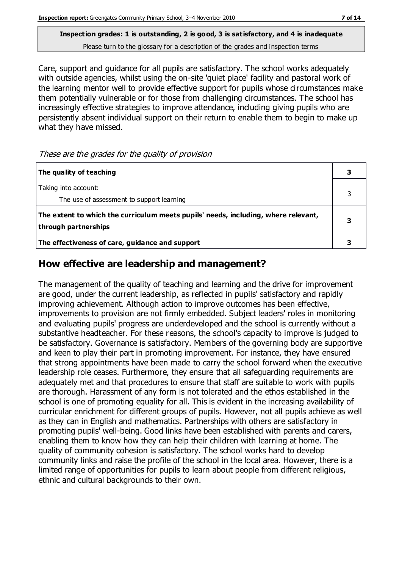Care, support and guidance for all pupils are satisfactory. The school works adequately with outside agencies, whilst using the on-site 'quiet place' facility and pastoral work of the learning mentor well to provide effective support for pupils whose circumstances make them potentially vulnerable or for those from challenging circumstances. The school has increasingly effective strategies to improve attendance, including giving pupils who are persistently absent individual support on their return to enable them to begin to make up what they have missed.

These are the grades for the quality of provision

| The quality of teaching                                                                                    |  |
|------------------------------------------------------------------------------------------------------------|--|
| Taking into account:<br>The use of assessment to support learning                                          |  |
| The extent to which the curriculum meets pupils' needs, including, where relevant,<br>through partnerships |  |
| The effectiveness of care, guidance and support                                                            |  |

## **How effective are leadership and management?**

The management of the quality of teaching and learning and the drive for improvement are good, under the current leadership, as reflected in pupils' satisfactory and rapidly improving achievement. Although action to improve outcomes has been effective, improvements to provision are not firmly embedded. Subject leaders' roles in monitoring and evaluating pupils' progress are underdeveloped and the school is currently without a substantive headteacher. For these reasons, the school's capacity to improve is judged to be satisfactory. Governance is satisfactory. Members of the governing body are supportive and keen to play their part in promoting improvement. For instance, they have ensured that strong appointments have been made to carry the school forward when the executive leadership role ceases. Furthermore, they ensure that all safeguarding requirements are adequately met and that procedures to ensure that staff are suitable to work with pupils are thorough. Harassment of any form is not tolerated and the ethos established in the school is one of promoting equality for all. This is evident in the increasing availability of curricular enrichment for different groups of pupils. However, not all pupils achieve as well as they can in English and mathematics. Partnerships with others are satisfactory in promoting pupils' well-being. Good links have been established with parents and carers, enabling them to know how they can help their children with learning at home. The quality of community cohesion is satisfactory. The school works hard to develop community links and raise the profile of the school in the local area. However, there is a limited range of opportunities for pupils to learn about people from different religious, ethnic and cultural backgrounds to their own.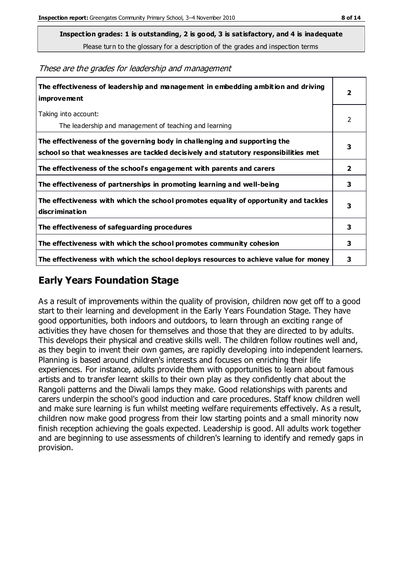**Inspection grades: 1 is outstanding, 2 is good, 3 is satisfactory, and 4 is inadequate**

Please turn to the glossary for a description of the grades and inspection terms

These are the grades for leadership and management

| The effectiveness of leadership and management in embedding ambition and driving<br><b>improvement</b>                                                           |                         |
|------------------------------------------------------------------------------------------------------------------------------------------------------------------|-------------------------|
| Taking into account:<br>The leadership and management of teaching and learning                                                                                   | 2                       |
| The effectiveness of the governing body in challenging and supporting the<br>school so that weaknesses are tackled decisively and statutory responsibilities met | 3                       |
| The effectiveness of the school's engagement with parents and carers                                                                                             | $\overline{\mathbf{2}}$ |
| The effectiveness of partnerships in promoting learning and well-being                                                                                           | 3                       |
| The effectiveness with which the school promotes equality of opportunity and tackles<br>discrimination                                                           | 3                       |
| The effectiveness of safeguarding procedures                                                                                                                     | 3                       |
| The effectiveness with which the school promotes community cohesion                                                                                              | 3                       |
| The effectiveness with which the school deploys resources to achieve value for money                                                                             | 3                       |

### **Early Years Foundation Stage**

As a result of improvements within the quality of provision, children now get off to a good start to their learning and development in the Early Years Foundation Stage. They have good opportunities, both indoors and outdoors, to learn through an exciting range of activities they have chosen for themselves and those that they are directed to by adults. This develops their physical and creative skills well. The children follow routines well and, as they begin to invent their own games, are rapidly developing into independent learners. Planning is based around children's interests and focuses on enriching their life experiences. For instance, adults provide them with opportunities to learn about famous artists and to transfer learnt skills to their own play as they confidently chat about the Rangoli patterns and the Diwali lamps they make. Good relationships with parents and carers underpin the school's good induction and care procedures. Staff know children well and make sure learning is fun whilst meeting welfare requirements effectively. As a result, children now make good progress from their low starting points and a small minority now finish reception achieving the goals expected. Leadership is good. All adults work together and are beginning to use assessments of children's learning to identify and remedy gaps in provision.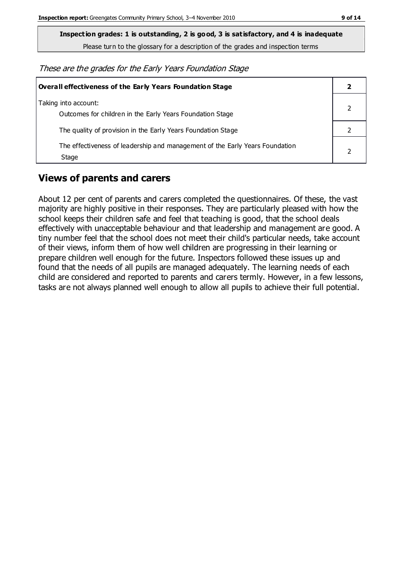**Inspection grades: 1 is outstanding, 2 is good, 3 is satisfactory, and 4 is inadequate**

Please turn to the glossary for a description of the grades and inspection terms

These are the grades for the Early Years Foundation Stage

| Overall effectiveness of the Early Years Foundation Stage                             |  |
|---------------------------------------------------------------------------------------|--|
| Taking into account:<br>Outcomes for children in the Early Years Foundation Stage     |  |
| The quality of provision in the Early Years Foundation Stage                          |  |
| The effectiveness of leadership and management of the Early Years Foundation<br>Stage |  |

#### **Views of parents and carers**

About 12 per cent of parents and carers completed the questionnaires. Of these, the vast majority are highly positive in their responses. They are particularly pleased with how the school keeps their children safe and feel that teaching is good, that the school deals effectively with unacceptable behaviour and that leadership and management are good. A tiny number feel that the school does not meet their child's particular needs, take account of their views, inform them of how well children are progressing in their learning or prepare children well enough for the future. Inspectors followed these issues up and found that the needs of all pupils are managed adequately. The learning needs of each child are considered and reported to parents and carers termly. However, in a few lessons, tasks are not always planned well enough to allow all pupils to achieve their full potential.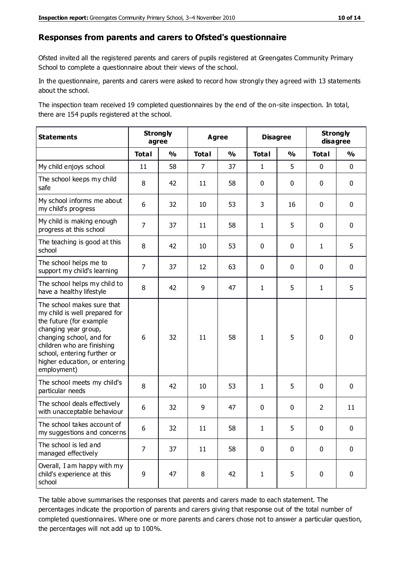#### **Responses from parents and carers to Ofsted's questionnaire**

Ofsted invited all the registered parents and carers of pupils registered at Greengates Community Primary School to complete a questionnaire about their views of the school.

In the questionnaire, parents and carers were asked to record how strongly they agreed with 13 statements about the school.

The inspection team received 19 completed questionnaires by the end of the on-site inspection. In total, there are 154 pupils registered at the school.

| <b>Statements</b>                                                                                                                                                                                                                                       |                | <b>Strongly</b><br>agree | <b>Agree</b>   |               | <b>Disagree</b> |               | <b>Strongly</b><br>disagree |               |
|---------------------------------------------------------------------------------------------------------------------------------------------------------------------------------------------------------------------------------------------------------|----------------|--------------------------|----------------|---------------|-----------------|---------------|-----------------------------|---------------|
|                                                                                                                                                                                                                                                         | <b>Total</b>   | $\frac{0}{0}$            | <b>Total</b>   | $\frac{1}{2}$ | <b>Total</b>    | $\frac{1}{2}$ | <b>Total</b>                | $\frac{1}{2}$ |
| My child enjoys school                                                                                                                                                                                                                                  | 11             | 58                       | $\overline{7}$ | 37            | 1               | 5             | $\mathbf 0$                 | $\mathbf 0$   |
| The school keeps my child<br>safe                                                                                                                                                                                                                       | 8              | 42                       | 11             | 58            | 0               | 0             | $\mathbf 0$                 | $\mathbf 0$   |
| My school informs me about<br>my child's progress                                                                                                                                                                                                       | 6              | 32                       | 10             | 53            | 3               | 16            | $\mathbf 0$                 | $\mathbf 0$   |
| My child is making enough<br>progress at this school                                                                                                                                                                                                    | $\overline{7}$ | 37                       | 11             | 58            | $\mathbf{1}$    | 5             | $\mathbf 0$                 | $\mathbf 0$   |
| The teaching is good at this<br>school                                                                                                                                                                                                                  | 8              | 42                       | 10             | 53            | 0               | 0             | $\mathbf{1}$                | 5             |
| The school helps me to<br>support my child's learning                                                                                                                                                                                                   | 7              | 37                       | 12             | 63            | 0               | $\mathbf{0}$  | 0                           | $\mathbf 0$   |
| The school helps my child to<br>have a healthy lifestyle                                                                                                                                                                                                | 8              | 42                       | 9              | 47            | 1               | 5             | 1                           | 5             |
| The school makes sure that<br>my child is well prepared for<br>the future (for example<br>changing year group,<br>changing school, and for<br>children who are finishing<br>school, entering further or<br>higher education, or entering<br>employment) | 6              | 32                       | 11             | 58            | $\mathbf{1}$    | 5             | $\mathbf 0$                 | $\mathbf 0$   |
| The school meets my child's<br>particular needs                                                                                                                                                                                                         | 8              | 42                       | 10             | 53            | 1               | 5             | $\mathbf 0$                 | $\mathbf 0$   |
| The school deals effectively<br>with unacceptable behaviour                                                                                                                                                                                             | 6              | 32                       | 9              | 47            | 0               | 0             | 2                           | 11            |
| The school takes account of<br>my suggestions and concerns                                                                                                                                                                                              | 6              | 32                       | 11             | 58            | 1               | 5             | $\mathbf{0}$                | $\mathbf{0}$  |
| The school is led and<br>managed effectively                                                                                                                                                                                                            | $\overline{7}$ | 37                       | 11             | 58            | $\pmb{0}$       | $\mathbf 0$   | $\mathbf 0$                 | $\mathbf 0$   |
| Overall, I am happy with my<br>child's experience at this<br>school                                                                                                                                                                                     | 9              | 47                       | 8              | 42            | $\mathbf{1}$    | 5             | $\mathbf 0$                 | $\pmb{0}$     |

The table above summarises the responses that parents and carers made to each statement. The percentages indicate the proportion of parents and carers giving that response out of the total number of completed questionnaires. Where one or more parents and carers chose not to answer a particular question, the percentages will not add up to 100%.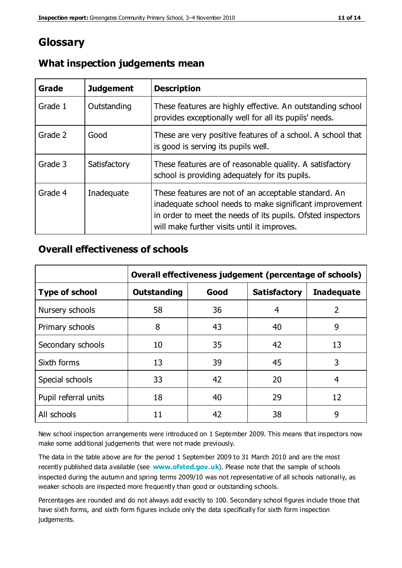## **Glossary**

| Grade   | <b>Judgement</b> | <b>Description</b>                                                                                                                                                                                                            |
|---------|------------------|-------------------------------------------------------------------------------------------------------------------------------------------------------------------------------------------------------------------------------|
| Grade 1 | Outstanding      | These features are highly effective. An outstanding school<br>provides exceptionally well for all its pupils' needs.                                                                                                          |
| Grade 2 | Good             | These are very positive features of a school. A school that<br>is good is serving its pupils well.                                                                                                                            |
| Grade 3 | Satisfactory     | These features are of reasonable quality. A satisfactory<br>school is providing adequately for its pupils.                                                                                                                    |
| Grade 4 | Inadequate       | These features are not of an acceptable standard. An<br>inadequate school needs to make significant improvement<br>in order to meet the needs of its pupils. Ofsted inspectors<br>will make further visits until it improves. |

#### **What inspection judgements mean**

#### **Overall effectiveness of schools**

|                       | Overall effectiveness judgement (percentage of schools) |      |                     |                   |
|-----------------------|---------------------------------------------------------|------|---------------------|-------------------|
| <b>Type of school</b> | <b>Outstanding</b>                                      | Good | <b>Satisfactory</b> | <b>Inadequate</b> |
| Nursery schools       | 58                                                      | 36   | 4                   | 2                 |
| Primary schools       | 8                                                       | 43   | 40                  | 9                 |
| Secondary schools     | 10                                                      | 35   | 42                  | 13                |
| Sixth forms           | 13                                                      | 39   | 45                  | 3                 |
| Special schools       | 33                                                      | 42   | 20                  | 4                 |
| Pupil referral units  | 18                                                      | 40   | 29                  | 12                |
| All schools           | 11                                                      | 42   | 38                  | 9                 |

New school inspection arrangements were introduced on 1 September 2009. This means that inspectors now make some additional judgements that were not made previously.

The data in the table above are for the period 1 September 2009 to 31 March 2010 and are the most recently published data available (see **[www.ofsted.gov.uk](http://www.ofsted.gov.uk/)**). Please note that the sample of schools inspected during the autumn and spring terms 2009/10 was not representative of all schools nationally, as weaker schools are inspected more frequently than good or outstanding schools.

Percentages are rounded and do not always add exactly to 100. Secondary school figures include those that have sixth forms, and sixth form figures include only the data specifically for sixth form inspection judgements.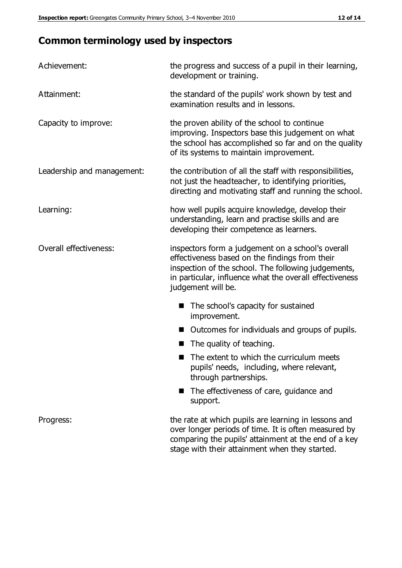# **Common terminology used by inspectors**

| Achievement:               | the progress and success of a pupil in their learning,<br>development or training.                                                                                                                                                          |  |  |
|----------------------------|---------------------------------------------------------------------------------------------------------------------------------------------------------------------------------------------------------------------------------------------|--|--|
| Attainment:                | the standard of the pupils' work shown by test and<br>examination results and in lessons.                                                                                                                                                   |  |  |
| Capacity to improve:       | the proven ability of the school to continue<br>improving. Inspectors base this judgement on what<br>the school has accomplished so far and on the quality<br>of its systems to maintain improvement.                                       |  |  |
| Leadership and management: | the contribution of all the staff with responsibilities,<br>not just the headteacher, to identifying priorities,<br>directing and motivating staff and running the school.                                                                  |  |  |
| Learning:                  | how well pupils acquire knowledge, develop their<br>understanding, learn and practise skills and are<br>developing their competence as learners.                                                                                            |  |  |
| Overall effectiveness:     | inspectors form a judgement on a school's overall<br>effectiveness based on the findings from their<br>inspection of the school. The following judgements,<br>in particular, influence what the overall effectiveness<br>judgement will be. |  |  |
|                            | The school's capacity for sustained<br>improvement.                                                                                                                                                                                         |  |  |
|                            | Outcomes for individuals and groups of pupils.                                                                                                                                                                                              |  |  |
|                            | The quality of teaching.                                                                                                                                                                                                                    |  |  |
|                            | The extent to which the curriculum meets<br>pupils' needs, including, where relevant,<br>through partnerships.                                                                                                                              |  |  |
|                            | The effectiveness of care, guidance and<br>support.                                                                                                                                                                                         |  |  |
| Progress:                  | the rate at which pupils are learning in lessons and<br>over longer periods of time. It is often measured by<br>comparing the pupils' attainment at the end of a key                                                                        |  |  |

stage with their attainment when they started.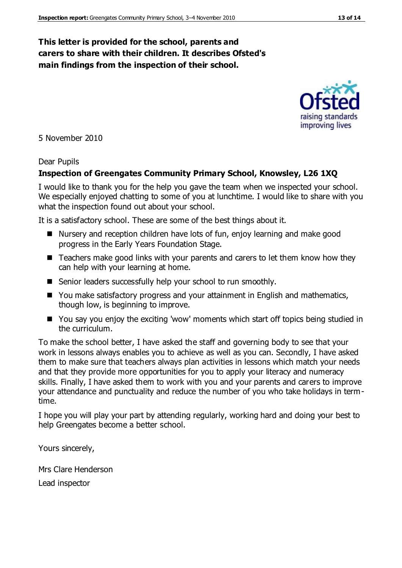#### **This letter is provided for the school, parents and carers to share with their children. It describes Ofsted's main findings from the inspection of their school.**

5 November 2010

#### Dear Pupils

#### **Inspection of Greengates Community Primary School, Knowsley, L26 1XQ**

I would like to thank you for the help you gave the team when we inspected your school. We especially enjoyed chatting to some of you at lunchtime. I would like to share with you what the inspection found out about your school.

It is a satisfactory school. These are some of the best things about it.

- Nursery and reception children have lots of fun, enjoy learning and make good progress in the Early Years Foundation Stage.
- Teachers make good links with your parents and carers to let them know how they can help with your learning at home.
- Senior leaders successfully help your school to run smoothly.
- You make satisfactory progress and your attainment in English and mathematics, though low, is beginning to improve.
- You say you enjoy the exciting 'wow' moments which start off topics being studied in the curriculum.

To make the school better, I have asked the staff and governing body to see that your work in lessons always enables you to achieve as well as you can. Secondly, I have asked them to make sure that teachers always plan activities in lessons which match your needs and that they provide more opportunities for you to apply your literacy and numeracy skills. Finally, I have asked them to work with you and your parents and carers to improve your attendance and punctuality and reduce the number of you who take holidays in termtime.

I hope you will play your part by attending regularly, working hard and doing your best to help Greengates become a better school.

Yours sincerely,

Mrs Clare Henderson Lead inspector